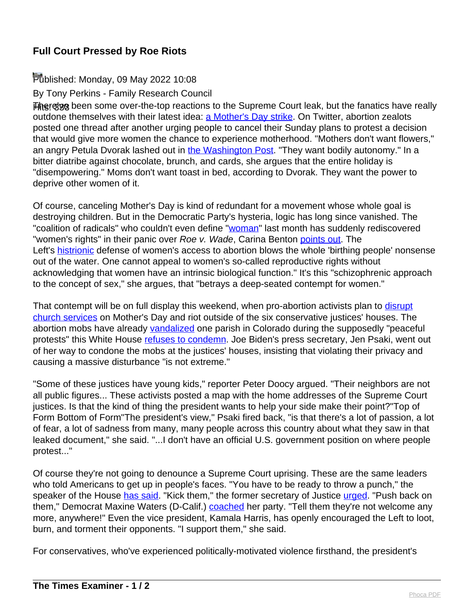## **Full Court Pressed by Roe Riots**

## Published: Monday, 09 May 2022 10:08

By Tony Perkins - Family Research Council

**Hitere've been some over-the-top reactions to the Supreme Court leak, but the fanatics have really** outdone themselves with their latest idea: [a Mother's Day strike](https://www.newsweek.com/roe-v-wade-mothers-day-strike-women-protest-abortion-supreme-court-1703328). On Twitter, abortion zealots posted one thread after another urging people to cancel their Sunday plans to protest a decision that would give more women the chance to experience motherhood. "Mothers don't want flowers," an angry Petula Dvorak lashed out in [the Washington Post](https://www.washingtonpost.com/dc-md-va/2022/05/05/mothers-day-abortion-rights/). "They want bodily autonomy." In a bitter diatribe against chocolate, brunch, and cards, she argues that the entire holiday is "disempowering." Moms don't want toast in bed, according to Dvorak. They want the power to deprive other women of it.

Of course, canceling Mother's Day is kind of redundant for a movement whose whole goal is destroying children. But in the Democratic Party's hysteria, logic has long since vanished. The "coalition of radicals" who couldn't even define "[woman](https://www.nationalreview.com/news/judge-jackson-refuses-to-define-woman-during-confirmation-hearing-im-not-a-biologist/)" last month has suddenly rediscovered "women's rights" in their panic over Roe v. Wade, Carina Benton [points out](https://thefederalist.com/2022/05/06/the-left-rediscovers-womens-rights-after-reducing-mothers-to-androgynous-birthing-bots/). The Left's [histrionic](https://twitter.com/msnbc/status/1521646902076395520) defense of women's access to abortion blows the whole 'birthing people' nonsense out of the water. One cannot appeal to women's so-called reproductive rights without acknowledging that women have an intrinsic biological function." It's this "schizophrenic approach to the concept of sex," she argues, that "betrays a deep-seated contempt for women."

That contempt will be on full display this weekend, when pro-abortion activists plan to [disrupt](https://www.foxnews.com/politics/pro-abortion-groups-target-churches-for-mothers-day-protests) [church services](https://www.foxnews.com/politics/pro-abortion-groups-target-churches-for-mothers-day-protests) on Mother's Day and riot outside of the six conservative justices' houses. The abortion mobs have already [vandalized](https://www.foxnews.com/us/boulder-catholic-church-vandalized-with-abortion-rights-graffiti) one parish in Colorado during the supposedly "peaceful protests" this White House [refuses to condemn](https://nypost.com/2022/05/05/psaki-wont-condemn-scotus-leak-of-draft-ruling-on-roe-v-wade/). Joe Biden's press secretary, Jen Psaki, went out of her way to condone the mobs at the justices' houses, insisting that violating their privacy and causing a massive disturbance "is not extreme."

"Some of these justices have young kids," reporter Peter Doocy argued. "Their neighbors are not all public figures... These activists posted a map with the home addresses of the Supreme Court justices. Is that the kind of thing the president wants to help your side make their point?"Top of Form Bottom of Form"The president's view," Psaki fired back, "is that there's a lot of passion, a lot of fear, a lot of sadness from many, many people across this country about what they saw in that leaked document," she said. "...I don't have an official U.S. government position on where people protest..."

Of course they're not going to denounce a Supreme Court uprising. These are the same leaders who told Americans to get up in people's faces. "You have to be ready to throw a punch," the speaker of the House [has said.](https://thehill.com/homenews/house/458594-pelosi-says-dems-have-to-be-ready-to-throw-a-punch-for-the-children-in-2020) "Kick them," the former secretary of Justice [urged.](https://www.cnn.com/2018/10/10/politics/eric-holder-republicans-when-they-go-low/index.html) "Push back on them," Democrat Maxine Waters (D-Calif.) [coached](https://www.cnn.com/2018/06/25/politics/maxine-waters-trump-officials/index.html) her party. "Tell them they're not welcome any more, anywhere!" Even the vice president, Kamala Harris, has openly encouraged the Left to loot, burn, and torment their opponents. "I support them," she said.

For conservatives, who've experienced politically-motivated violence firsthand, the president's